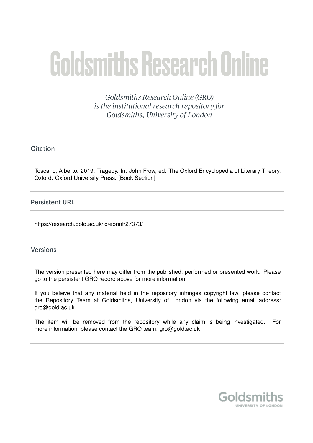# **Goldsmiths Research Online**

Goldsmiths Research Online (GRO) is the institutional research repository for Goldsmiths, University of London

# Citation

Toscano, Alberto. 2019. Tragedy. In: John Frow, ed. The Oxford Encyclopedia of Literary Theory. Oxford: Oxford University Press. [Book Section]

## **Persistent URL**

https://research.gold.ac.uk/id/eprint/27373/

## **Versions**

The version presented here may differ from the published, performed or presented work. Please go to the persistent GRO record above for more information.

If you believe that any material held in the repository infringes copyright law, please contact the Repository Team at Goldsmiths, University of London via the following email address: gro@gold.ac.uk.

The item will be removed from the repository while any claim is being investigated. For more information, please contact the GRO team: gro@gold.ac.uk

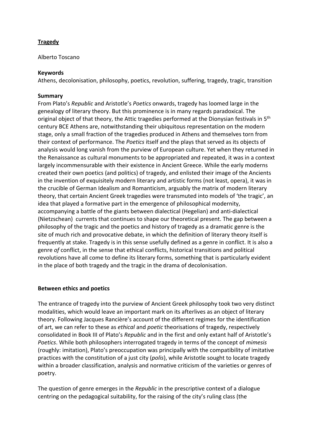# **Tragedy**

Alberto Toscano

## **Keywords**

Athens, decolonisation, philosophy, poetics, revolution, suffering, tragedy, tragic, transition

## **Summary**

From Plato's *Republic* and Aristotle's *Poetics* onwards, tragedy has loomed large in the genealogy of literary theory. But this prominence is in many regards paradoxical. The original object of that theory, the Attic tragedies performed at the Dionysian festivals in 5<sup>th</sup> century BCE Athens are, notwithstanding their ubiquitous representation on the modern stage, only a small fraction of the tragedies produced in Athens and themselves torn from their context of performance. The *Poetics* itself and the plays that served as its objects of analysis would long vanish from the purview of European culture. Yet when they returned in the Renaissance as cultural monuments to be appropriated and repeated, it was in a context largely incommensurable with their existence in Ancient Greece. While the early moderns created their own poetics (and politics) of tragedy, and enlisted their image of the Ancients in the invention of exquisitely modern literary and artistic forms (not least, opera), it was in the crucible of German Idealism and Romanticism, arguably the matrix of modern literary theory, that certain Ancient Greek tragedies were transmuted into models of 'the tragic', an idea that played a formative part in the emergence of philosophical modernity, accompanying a battle of the giants between dialectical (Hegelian) and anti-dialectical (Nietzschean) currents that continues to shape our theoretical present. The gap between a philosophy of the tragic and the poetics and history of tragedy as a dramatic genre is the site of much rich and provocative debate, in which the definition of literary theory itself is frequently at stake. Tragedy is in this sense usefully defined as a genre in conflict. It is also a genre *of* conflict, in the sense that ethical conflicts, historical transitions and political revolutions have all come to define its literary forms, something that is particularly evident in the place of both tragedy and the tragic in the drama of decolonisation.

#### **Between ethics and poetics**

The entrance of tragedy into the purview of Ancient Greek philosophy took two very distinct modalities, which would leave an important mark on its afterlives as an object of literary theory. Following Jacques Rancière's account of the different regimes for the identification of art, we can refer to these as *ethical* and *poetic* theorisations of tragedy, respectively consolidated in Book III of Plato's *Republic* and in the first and only extant half of Aristotle's *Poetics*. While both philosophers interrogated tragedy in terms of the concept of *mimesis*  (roughly: imitation), Plato's preoccupation was principally with the compatibility of imitative practices with the constitution of a just city (*polis*), while Aristotle sought to locate tragedy within a broader classification, analysis and normative criticism of the varieties or genres of poetry.

The question of genre emerges in the *Republic* in the prescriptive context of a dialogue centring on the pedagogical suitability, for the raising of the city's ruling class (the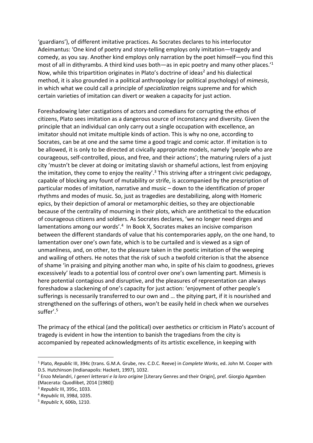'guardians'), of different imitative practices. As Socrates declares to his interlocutor Adeimantus: 'One kind of poetry and story-telling employs only imitation—tragedy and comedy, as you say. Another kind employs only narration by the poet himself—you find this most of all in dithyrambs. A third kind uses both—as in epic poetry and many other places.<sup>11</sup> Now, while this tripartition originates in Plato's doctrine of ideas<sup>2</sup> and his dialectical method, it is also grounded in a political anthropology (or political psychology) of *mimesis*, in which what we could call a principle of *specialization* reigns supreme and for which certain varieties of imitation can divert or weaken a capacity for just action.

Foreshadowing later castigations of actors and comedians for corrupting the ethos of citizens, Plato sees imitation as a dangerous source of inconstancy and diversity. Given the principle that an individual can only carry out a single occupation with excellence, an imitator should not imitate multiple kinds of action. This is why no one, according to Socrates, can be at one and the same time a good tragic and comic actor. If imitation is to be allowed, it is only to be directed at civically appropriate models, namely 'people who are courageous, self-controlled, pious, and free, and their actions'; the maturing rulers of a just city 'mustn't be clever at doing or imitating slavish or shameful actions, lest from enjoying the imitation, they come to enjoy the reality'.<sup>3</sup> This striving after a stringent civic pedagogy, capable of blocking any fount of mutability or strife, is accompanied by the prescription of particular modes of imitation, narrative and music – down to the identification of proper rhythms and modes of music. So, just as tragedies are destabilizing, along with Homeric epics, by their depiction of amoral or metamorphic deities, so they are objectionable because of the centrality of mourning in their plots, which are antithetical to the education of courageous citizens and soldiers. As Socrates declares, 'we no longer need dirges and lamentations among our words'.<sup>4</sup> In Book X, Socrates makes an incisive comparison between the different standards of value that his contemporaries apply, on the one hand, to lamentation over one's own fate, which is to be curtailed and is viewed as a sign of unmanliness, and, on other, to the pleasure taken in the poetic imitation of the weeping and wailing of others. He notes that the risk of such a twofold criterion is that the absence of shame 'in praising and pitying another man who, in spite of his claim to goodness, grieves excessively' leads to a potential loss of control over one's own lamenting part. Mimesis is here potential contagious and disruptive, and the pleasures of representation can always foreshadow a slackening of one's capacity for just action: 'enjoyment of other people's sufferings is necessarily transferred to our own and … the pitying part, if it is nourished and strengthened on the sufferings of others, won't be easily held in check when we ourselves suffer'.<sup>5</sup>

The primacy of the ethical (and the political) over aesthetics or criticism in Plato's account of tragedy is evident in how the intention to banish the tragedians from the city is accompanied by repeated acknowledgments of its artistic excellence, in keeping with

<sup>1</sup> Plato, *Republic* III, 394c (trans. G.M.A. Grube, rev. C.D.C. Reeve) in *Complete Works*, ed. John M. Cooper with D.S. Hutchinson (Indianapolis: Hackett, 1997), 1032.

<sup>2</sup> Enzo Melandri, *I generi letterari e la loro origine* [Literary Genres and their Origin], pref. Giorgio Agamben (Macerata: Quodlibet, 2014 [1980])

<sup>3</sup> *Republic* III, 395c, 1033.

<sup>4</sup> *Republic* III, 398d, 1035.

<sup>5</sup> *Republic* X, 606b, 1210.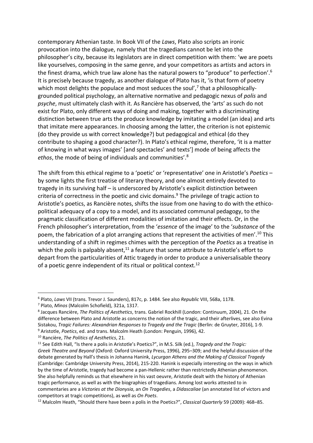contemporary Athenian taste. In Book VII of the *Laws*, Plato also scripts an ironic provocation into the dialogue, namely that the tragedians cannot be let into the philosopher's city, because its legislators are in direct competition with them: 'we are poets like yourselves, composing in the same genre, and your competitors as artists and actors in the finest drama, which true law alone has the natural powers to "produce" to perfection'.<sup>6</sup> It is precisely because tragedy, as another dialogue of Plato has it, 'is that form of poetry which most delights the populace and most seduces the soul',<sup>7</sup> that a philosophicallygrounded political psychology, an alternative normative and pedagogic nexus of *polis* and *psyche*, must ultimately clash with it. As Rancière has observed, the 'arts' as such do not exist for Plato, only different ways of doing and making, together with a discriminating distinction between true arts the produce knowledge by imitating a model (an idea) and arts that imitate mere appearances. In choosing among the latter, the criterion is not epistemic (do they provide us with correct knowledge?) but pedagogical and ethical (do they contribute to shaping a good character?). In Plato's ethical regime, therefore, 'it is a matter of knowing in what ways images' [and spectacles' and texts'] mode of being affects the *ethos*, the mode of being of individuals and communities'.<sup>8</sup>

The shift from this ethical regime to a 'poetic' or 'representative' one in Aristotle's *Poetics* – by some lights the first treatise of literary theory, and one almost entirely devoted to tragedy in its surviving half – is underscored by Aristotle's explicit distinction between criteria of correctness in the poetic and civic domains.<sup>9</sup> The privilege of tragic action to Aristotle's poetics, as Rancière notes, shifts the issue from one having to do with the ethicopolitical adequacy of a copy to a model, and its associated communal pedagogy, to the pragmatic classification of different modalities of imitation and their effects. Or, in the French philosopher's interpretation, from the '*essence* of the image' to the '*substance* of the poem, the fabrication of a plot arranging actions that represent the activities of men'.<sup>10</sup> This understanding of a shift in regimes chimes with the perception of the *Poetics* as a treatise in which the *polis* is palpably absent,<sup>11</sup> a feature that some attribute to Aristotle's effort to depart from the particularities of Attic tragedy in order to produce a universalisable theory of a poetic genre independent of its ritual or political context.<sup>12</sup>

<sup>6</sup> Plato, *Laws* VII (trans. Trevor J. Saunders), 817c, p. 1484. See also *Republic* VIII, 568a, 1178.

<sup>7</sup> Plato, *Minos* (Malcolm Schofield), 321a, 1317.

<sup>8</sup> Jacques Rancière, *The Politics of Aesthetics*, trans. Gabriel Rockhill (London: Continuum, 2004), 21. On the difference between Plato and Aristotle as concerns the notion of the tragic, and their afterlives, see also Evina Sistakou, *Tragic Failures: Alexandrian Responses to Tragedy and the Tragic* (Berlin: de Gruyter, 2016), 1-9. <sup>9</sup> Aristotle, *Poetics*, ed. and trans. Malcolm Heath (London: Penguin, 1996), 42.

<sup>10</sup> Rancière, *The Politics of Aesthetics*, 21.

<sup>11</sup> See Edith Hall, "Is there a polis in Aristotle's Poetics?", in M.S. Silk (ed.), *Tragedy and the Tragic: Greek Theatre and Beyond* (Oxford: Oxford University Press, 1996), 295–309; and the helpful discussion of the debate generated by Hall's thesis in Johanna Hanink, *Lycurgan Athens and the Making of Classical Tragedy* (Cambridge: Cambridge University Press, 2014), 215-220. Hanink is especially interesting on the ways in which by the time of Aristotle, tragedy had become a pan-Hellenic rather than restrictedly Athenian phenomenon. She also helpfully reminds us that elsewhere in his vast oeuvre, Aristotle dealt with the history of Athenian tragic performance, as well as with the biographies of tragedians. Among lost works attested to in commentaries are a *Victories at the Dionysia*, an *On Tragedies*, a *Didascaliae* (an annotated list of victors and competitors at tragic competitions), as well as *On Poets*.

<sup>12</sup> Malcolm Heath, "Should there have been a polis in the Poetics?", *Classical Quarterly* 59 (2009): 468–85.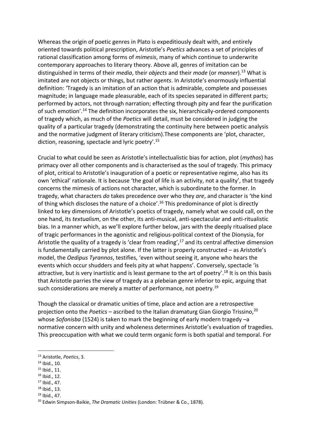Whereas the origin of poetic genres in Plato is expeditiously dealt with, and entirely oriented towards political prescription, Aristotle's *Poetics* advances a set of principles of rational classification among forms of *mimesis*, many of which continue to underwrite contemporary approaches to literary theory. Above all, genres of imitation can be distinguished in terms of their *media*, their *objects* and their *mode* (or *manner*).<sup>13</sup> What is imitated are not objects or things, but rather *agents*. In Aristotle's enormously influential definition: 'Tragedy is an imitation of an action that is admirable, complete and possesses magnitude; in language made pleasurable, each of its species separated in different parts; performed by actors, not through narration; effecting through pity and fear the purification of such emotion'.<sup>14</sup> The definition incorporates the six, hierarchically-ordered components of tragedy which, as much of the *Poetics* will detail, must be considered in judging the quality of a particular tragedy (demonstrating the continuity here between poetic analysis and the normative judgment of literary criticism).These components are 'plot, character, diction, reasoning, spectacle and lyric poetry'.<sup>15</sup>

Crucial to what could be seen as Aristotle's intellectualistic bias for action, plot (*mythos*) has primacy over all other components and is characterised as the soul of tragedy. This primacy of plot, critical to Aristotle's inauguration of a poetic or representative regime, also has its own 'ethical' rationale. It is because 'the goal of life is an activity, not a quality', that tragedy concerns the mimesis of actions not character, which is subordinate to the former. In tragedy, what characters *do* takes precedence over who they *are*, and character is 'the kind of thing which discloses the nature of a choice'.<sup>16</sup> This predominance of plot is directly linked to key dimensions of Aristotle's poetics of tragedy, namely what we could call, on the one hand, its *textualism*, on the other, its anti-musical, anti-spectacular and anti-ritualistic bias. In a manner which, as we'll explore further below, jars with the deeply ritualised place of tragic performances in the agonistic and religious-political context of the Dionysia, for Aristotle the quality of a tragedy is 'clear from reading',<sup>17</sup> and its central affective dimension is fundamentally carried by plot alone. If the latter is properly constructed – as Aristotle's model, the *Oedipus Tyrannos*, testifies, 'even without seeing it, anyone who hears the events which occur shudders and feels pity at what happens'. Conversely, spectacle 'is attractive, but is very inartistic and is least germane to the art of poetry'.<sup>18</sup> It is on this basis that Aristotle parries the view of tragedy as a plebeian genre inferior to epic, arguing that such considerations are merely a matter of performance, not poetry.<sup>19</sup>

Though the classical or dramatic unities of time, place and action are a retrospective projection onto the *Poetics* – ascribed to the Italian dramaturg Gian Giorgio Trissino, 20 whose *Sofonisba* (1524) is taken to mark the beginning of early modern tragedy –a normative concern with unity and wholeness determines Aristotle's evaluation of tragedies. This preoccupation with what we could term organic form is both spatial and temporal. For

**.** 

 $16$  Ibid., 12.

- <sup>18</sup> Ibid., 13.
- <sup>19</sup> Ibid., 47.

<sup>13</sup> Aristotle, *Poetics*, 3.

<sup>14</sup> Ibid., 10.

<sup>15</sup> Ibid., 11.

<sup>17</sup> Ibid., 47.

<sup>20</sup> Edwin Simpson-Baikie, *The Dramatic Unities* (London: Trübner & Co., 1878).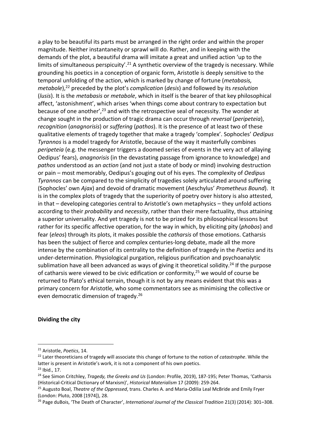a play to be beautiful its parts must be arranged in the right order and within the proper magnitude. Neither instantaneity or sprawl will do. Rather, and in keeping with the demands of the plot, a beautiful drama will imitate a great and unified action 'up to the limits of simultaneous perspicuity'.<sup>21</sup> A synthetic overview of the tragedy is necessary. While grounding his poetics in a conception of organic form, Aristotle is deeply sensitive to the temporal unfolding of the action, which is marked by change of fortune (*metabasis, metabole*), <sup>22</sup> preceded by the plot's *complication* (*desis*) and followed by its *resolution*  (*lusis*). It is the *metabasis* or *metabole*, which in itself is the bearer of that key philosophical affect, 'astonishment', which arises 'when things come about contrary to expectation but because of one another', $^{23}$  and with the retrospective seal of necessity. The wonder at change sought in the production of tragic drama can occur through *reversal* (*peripeteia*), *recognition* (*anagnorisis*) or *suffering* (*pathos*). It is the presence of at least two of these qualitative elements of tragedy together that make a tragedy 'complex'. Sophocles' *Oedipus Tyrannos* is a model tragedy for Aristotle, because of the way it masterfully combines *peripeteia* (e.g. the messenger triggers a doomed series of events in the very act of allaying Oedipus' fears), *anagnorisis* (in the devastating passage from ignorance to knowledge) and *pathos* understood as an *action* (and not just a state of body or mind) involving destruction or pain – most memorably, Oedipus's gouging out of his eyes. The complexity of *Oedipus Tyrannos* can be compared to the simplicity of tragedies solely articulated around suffering (Sophocles' own *Ajax*) and devoid of dramatic movement (Aeschylus' *Prometheus Bound*). It is in the complex plots of tragedy that the superiority of poetry over history is also attested, in that – developing categories central to Aristotle's own metaphysics – they unfold actions according to their *probability* and *necessity*, rather than their mere factuality, thus attaining a superior universality. And yet tragedy is not to be prized for its philosophical lessons but rather for its specific affective operation, for the way in which, by eliciting pity (*phobos*) and fear (*eleos*) through its plots, it makes possible the *catharsis* of those emotions. Catharsis has been the subject of fierce and complex centuries-long debate, made all the more intense by the combination of its centrality to the definition of tragedy in the *Poetics* and its under-determination. Physiological purgation, religious purification and psychoanalytic sublimation have all been advanced as ways of giving it theoretical solidity.<sup>24</sup> If the purpose of catharsis were viewed to be civic edification or conformity,<sup>25</sup> we would of course be returned to Plato's ethical terrain, though it is not by any means evident that this was a primary concern for Aristotle, who some commentators see as minimising the collective or even democratic dimension of tragedy. 26

#### **Dividing the city**

<sup>21</sup> Aristotle, *Poetics*, 14.

<sup>22</sup> Later theoreticians of tragedy will associate this change of fortune to the notion of *catastrophe*. While the latter is present in Aristotle's work, it is not a component of his own poetics.

<sup>23</sup> Ibid., 17.

<sup>24</sup> See Simon Critchley, *Tragedy, the Greeks and Us* (London: Profile, 2019), 187-195; Peter Thomas, 'Catharsis (Historical-Critical Dictionary of Marxism)', *Historical Materialism* 17 (2009): 259-264.

<sup>25</sup> Augusto Boal, *Theatre of the Oppressed*, trans. Charles A. and Maria-Odilia Leal McBride and Emily Fryer (London: Pluto, 2008 [1974]), 28.

<sup>26</sup> Page duBois, 'The Death of Character', *International Journal of the Classical Tradition* 21(3) (2014): 301–308.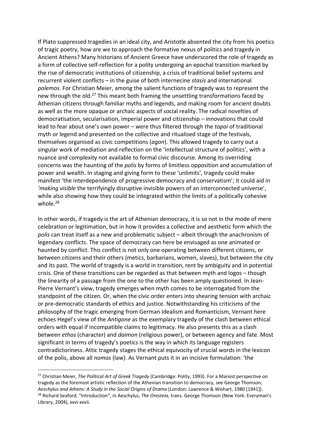If Plato suppressed tragedies in an ideal city, and Aristotle absented the city from his poetics of tragic poetry, how are we to approach the formative nexus of politics and tragedy in Ancient Athens? Many historians of Ancient Greece have underscored the role of tragedy as a form of collective self-reflection for a polity undergoing an epochal transition marked by the rise of democratic institutions of citizenship, a crisis of traditional belief systems and recurrent violent conflicts – in the guise of both internecine *stasis* and international *polemos*. For Christian Meier, among the salient functions of tragedy was to represent the new through the old.<sup>27</sup> This meant both framing the unsettling transformations faced by Athenian citizens through familiar myths and legends, and making room for ancient doubts as well as the more opaque or archaic aspects of social reality. The radical novelties of democratisation, secularisation, imperial power and citizenship – innovations that could lead to fear about one's own power – were thus filtered through the *topoi* of traditional myth or legend and presented on the collective and ritualised stage of the festivals, themselves organised as civic competitions (*agon*). This allowed tragedy to carry out a singular work of mediation and reflection on the 'intellectual structure of politics', with a nuance and complexity not available to formal civic discourse. Among its overriding concerns was the haunting of the *polis* by forms of limitless opposition and accumulation of power and wealth. In staging and giving form to these 'unlimits', tragedy could make manifest 'the interdependence of progressive democracy and conservatism'; it could aid in *'making visible* the terrifyingly disruptive invisible powers of an interconnected universe', while also showing how they could be integrated within the limits of a politically cohesive whole.<sup>28</sup>

In other words, if tragedy is the art of Athenian democracy, it is so not in the mode of mere celebration or legitimation, but in how it provides a collective and aesthetic form which the *polis* can treat itself as a new and problematic subject – albeit through the anachronism of legendary conflicts. The space of democracy can here be envisaged as one animated or haunted by conflict. This conflict is not only one operating between different citizens, or between citizens and their others (metics, barbarians, women, slaves), but between the city and its past. The world of tragedy is a world in transition, rent by ambiguity and in potential crisis. One of these transitions can be regarded as that between myth and logos – though the linearity of a passage from the one to the other has been amply questioned. In Jean-Pierre Vernant's view, tragedy emerges when myth comes to be interrogated from the standpoint of the citizen. Or, when the civic order enters into shearing tension with archaic or pre-democratic standards of ethics and justice. Notwithstanding his criticisms of the philosophy of the tragic emerging from German Idealism and Romanticism, Vernant here echoes Hegel's view of the *Antigone* as the exemplary tragedy of the clash between ethical orders with equal if incompatible claims to legitimacy. He also presents this as a clash between *ethos* (character) and *daimon* (religious power), or between agency and fate. Most significant in terms of tragedy's poetics is the way in which its language registers contradictoriness. Attic tragedy stages the ethical equivocity of crucial words in the lexicon of the polis, above all *nomos* (law). As Vernant puts it in an incisive formulation: 'the

<sup>27</sup> Christian Meier, *The Political Art of Greek Tragedy* (Cambridge: Polity, 1993). For a Marxist perspective on tragedy as the foremost artistic reflection of the Athenian transition to democracy, see George Thomson, *Aeschylus and Athens: A Study in the Social Origins of Drama* (London: Lawrence & Wishart, 1980 [1941]). <sup>28</sup> Richard Seaford, "Introduction", in Aeschylus, *The Oresteia*, trans. George Thomson (New York: Everyman's Library, 2004), xxvi-xxvii.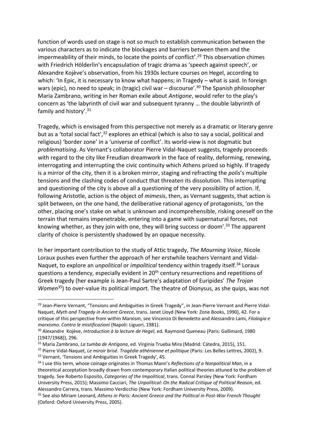function of words used on stage is not so much to establish communication between the various characters as to indicate the blockages and barriers between them and the impermeability of their minds, to locate the points of conflict'.<sup>29</sup> This observation chimes with Friedrich Hölderlin's encapsulation of tragic drama as 'speech against speech', or Alexandre Kojève's observation, from his 1930s lecture courses on Hegel, according to which: 'In Epic, it is necessary to know what happens; in Tragedy – what is said. In foreign wars (epic), no need to speak; in (tragic) civil war – discourse'.<sup>30</sup> The Spanish philosopher Maria Zambrano, writing in her Roman exile about *Antigone*, would refer to the play's concern as 'the labyrinth of civil war and subsequent tyranny … the double labyrinth of family and history'.<sup>31</sup>

Tragedy, which is envisaged from this perspective not merely as a dramatic or literary genre but as a 'total social fact',<sup>32</sup> explores an ethical (which is also to say a social, political and religious) 'border zone' in a 'universe of conflict'. Its world-view is not dogmatic but *problematising*. As Vernant's collaborator Pierre Vidal-Naquet suggests, tragedy proceeds with regard to the city like Freudian dreamwork in the face of reality, deforming, renewing, interrogating and interrupting the civic continuity which Athens prized so highly. If tragedy is a mirror of the city, then it is a broken mirror, staging and refracting the *polis*'s multiple tensions and the clashing codes of conduct that threaten its dissolution. This interrupting and questioning of the city is above all a questioning of the very possibility of action. If, following Aristotle, action is the object of *mimesis*, then, as Vernant suggests, that action is split between, on the one hand, the deliberative rational agency of protagonists, 'on the other, placing one's stake on what is unknown and incomprehensible, risking oneself on the terrain that remains impenetrable, entering into a game with supernatural forces, not knowing whether, as they join with one, they will bring success or doom'.<sup>33</sup> The apparent clarity of choice is persistently shadowed by an opaque necessity.

In her important contribution to the study of Attic tragedy, *The Mourning Voice*, Nicole Loraux pushes even further the approach of her erstwhile teachers Vernant and Vidal-Naquet, to explore an *unpolitical* or *impolitical* tendency within tragedy itself.<sup>34</sup> Loraux questions a tendency, especially evident in 20<sup>th</sup> century resurrections and repetitions of Greek tragedy (her example is Jean-Paul Sartre's adaptation of Euripides' *The Trojan Women<sup>35</sup>*) to over-value its political import. The theatre of Dionysus, as she quips, was not

<sup>&</sup>lt;sup>29</sup> Jean-Pierre Vernant, "Tensions and Ambiguities in Greek Tragedy", in Jean-Pierre Vernant and Pierre Vidal-Naquet, *Myth and Tragedy in Ancient Greece*, trans. Janet Lloyd (New York: Zone Books, 1990), 42. For a critique of this perspective from within Marxism, see Vincenzo Di Benedetto and Alessandro Lami, *Filologia e marxismo. Contro le mistificazioni* (Napoli: Liguori, 1981).

<sup>30</sup> Alexandre Kojève, *Introduction à la lecture de Hegel*, ed. Raymond Queneau (Paris: Gallimard, 1980 [1947/1968]), 296.

<sup>31</sup> Maria Zambrano, *La tumba de Antígona*, ed. Virginia Trueba Mira (Madrid: Cátedra, 2015), 151.

<sup>32</sup> Pierre Vidal-Naquet, *Le miroir brisé. Tragédie athénienne et politique* (Paris: Les Belles Lettres, 2002), 9. <sup>33</sup> Vernant, 'Tensions and Ambiguities in Greek Tragedy', 45.

<sup>34</sup> I use this term, whose coinage originates in Thomas Mann's *Reflections of a Nonpolitical Man*, in a theoretical acceptation broadly drawn from contemporary Italian political theories attuned to the problem of tragedy. See Roberto Esposito, *Categories of the Impolitical*, trans. Connal Parsley (New York: Fordham University Press, 2015); Massimo Cacciari, *The Unpolitical: On the Radical Critique of Political Reason*, ed. Alessandro Carrera, trans. Massimo Verdicchio (New York: Fordham University Press, 2009).

<sup>35</sup> See also Miriam Leonard, *Athens in Paris: Ancient Greece and the Political in Post-War French Thought*  (Oxford: Oxford University Press, 2005).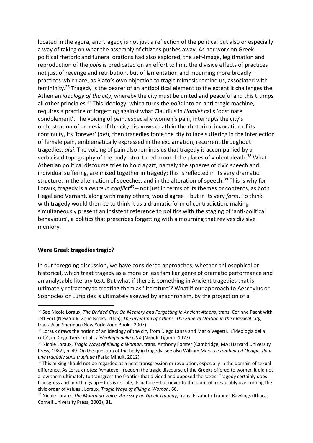located in the agora, and tragedy is not just a reflection of the political but also or especially a way of taking on what the assembly of citizens pushes away. As her work on Greek political rhetoric and funeral orations had also explored, the self-image, legitimation and reproduction of the *polis* is predicated on an effort to limit the divisive effects of practices not just of revenge and retribution, but of lamentation and mourning more broadly – practices which are, as Plato's own objection to tragic mimesis remind us, associated with femininity.<sup>36</sup> Tragedy is the bearer of an antipolitical element to the extent it challenges the Athenian *ideology of the city*, whereby the city must be united and peaceful and this trumps all other principles.<sup>37</sup> This ideology, which turns the *polis* into an anti-tragic machine, requires a practice of forgetting against what Claudius in *Hamlet* calls 'obstinate condolement'. The voicing of pain, especially women's pain, interrupts the city's orchestration of amnesia. If the city disavows death in the rhetorical invocation of its continuity, its 'forever' (*aeí*), then tragedies force the city to face suffering in the interjection of female pain, emblematically expressed in the exclamation, recurrent throughout tragedies, *aiaî*. The voicing of pain also reminds us that tragedy is accompanied by a verbalised topography of the body, structured around the places of violent death.<sup>38</sup> What Athenian political discourse tries to hold apart, namely the spheres of civic speech and individual suffering, are mixed together in tragedy; this is reflected in its very dramatic structure, in the alternation of speeches, and in the alteration of speech.<sup>39</sup> This is why for Loraux, tragedy is a *genre in conflict<sup>40</sup>* – not just in terms of its themes or contents, as both Hegel and Vernant, along with many others, would agree – but in its very *form*. To think with tragedy would then be to think it as a dramatic form of contradiction, making simultaneously present an insistent reference to politics with the staging of 'anti-political behaviours', a politics that prescribes forgetting with a mourning that revives divisive memory.

#### **Were Greek tragedies tragic?**

**.** 

In our foregoing discussion, we have considered approaches, whether philosophical or historical, which treat tragedy as a more or less familiar genre of dramatic performance and an analysable literary text. But what if there is something in Ancient tragedies that is ultimately refractory to treating them as 'literature'? What if our approach to Aeschylus or Sophocles or Euripides is ultimately skewed by anachronism, by the projection of a

<sup>36</sup> See Nicole Loraux, *The Divided City: On Memory and Forgetting in Ancient Athens*, trans. Corinne Pacht with Jeff Fort (New York: Zone Books, 2006); *The Invention of Athens: The Funeral Oration in the Classical City*, trans. Alan Sheridan (New York: Zone Books, 2007).

<sup>&</sup>lt;sup>37</sup> Loraux draws the notion of an ideology of the city from Diego Lanza and Mario Vegetti, 'L'ideologia della città', in Diego Lanza et al., *L'ideologia della città* (Napoli: Liguori, 1977).

<sup>38</sup> Nicole Loraux, *Tragic Ways of Killing a Woman*, trans. Anthony Forster (Cambridge, MA: Harvard University Press, 1987), p. 49. On the question of the body in tragedy, see also William Marx, *Le tombeau d'Oedipe. Pour une tragédie sans tragique* (Paris: Minuit, 2012).

 $39$  This mixing should not be regarded as a neat transgression or revolution, especially in the domain of sexual difference. As Loraux notes: 'whatever freedom the tragic discourse of the Greeks offered to women it did not allow them ultimately to transgress the frontier that divided and opposed the sexes. Tragedy certainly does transgress and mix things up – this is its rule, its nature – but never to the point of irrevocably overturning the civic order of values'. Loraux, *Tragic Ways of Killing a Woman*, 60.

<sup>40</sup> Nicole Loraux, *The Mourning Voice: An Essay on Greek Tragedy*, trans. Elizabeth Trapnell Rawlings (Ithaca: Cornell University Press, 2002), 81.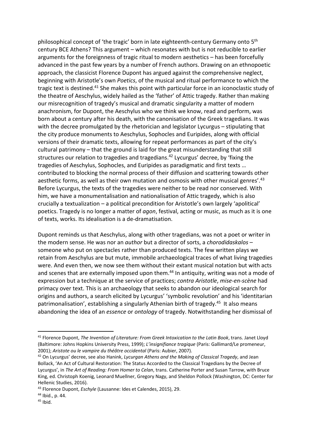philosophical concept of 'the tragic' born in late eighteenth-century Germany onto 5th century BCE Athens? This argument – which resonates with but is not reducible to earlier arguments for the foreignness of tragic ritual to modern aesthetics – has been forcefully advanced in the past few years by a number of French authors. Drawing on an ethnopoetic approach, the classicist Florence Dupont has argued against the comprehensive neglect, beginning with Aristotle's own *Poetics*, of the musical and ritual performance to which the tragic text is destined.<sup>41</sup> She makes this point with particular force in an iconoclastic study of the theatre of Aeschylus, widely hailed as the 'father' of Attic tragedy. Rather than making our misrecognition of tragedy's musical and dramatic singularity a matter of modern anachronism, for Dupont, the Aeschylus who we think we know, read and perform, was born about a century after his death, with the canonisation of the Greek tragedians. It was with the decree promulgated by the rhetorician and legislator Lycurgus – stipulating that the city produce monuments to Aeschylus, Sophocles and Euripides, along with official versions of their dramatic texts, allowing for repeat performances as part of the city's cultural patrimony – that the ground is laid for the great misunderstanding that still structures our relation to tragedies and tragedians.<sup>42</sup> Lycurgus' decree, by 'fixing the tragedies of Aeschylus, Sophocles, and Euripides as paradigmatic and first texts … contributed to blocking the normal process of their diffusion and scattering towards other aesthetic forms, as well as their own mutation and osmosis with other musical genres'.<sup>43</sup> Before Lycurgus, the texts of the tragedies were neither to be read nor conserved. With him, we have a monumentalisation and nationalisation of Attic tragedy, which is also crucially a textualization – a political precondition for Aristotle's own largely 'apolitical' poetics. Tragedy is no longer a matter of *agon*, festival, acting or music, as much as it is one of texts, works. Its idealisation is a de-dramatisation.

Dupont reminds us that Aeschylus, along with other tragedians, was not a poet or writer in the modern sense. He was nor an *author* but a director of sorts, a *chorodidaskalos* – someone who put on spectacles rather than produced texts. The few written plays we retain from Aeschylus are but mute, immobile archaeological traces of what living tragedies were. And even then, we now see them without their extant musical notation but with acts and scenes that are externally imposed upon them.<sup>44</sup> In antiquity, writing was not a mode of expression but a technique at the service of practices; *contra Aristotle*, *mise-en-scène* had primacy over text. This is an archaeology that seeks to abandon our ideological search for origins and authors, a search elicited by Lycurgus' 'symbolic revolution' and his 'identitarian patrimonalisation', establishing a singularly Athenian birth of tragedy.<sup>45</sup> It also means abandoning the idea of an *essence* or *ontology* of tragedy. Notwithstanding her dismissal of

<sup>41</sup> Florence Dupont, *The Invention of Literature: From Greek Intoxication to the Latin Book*, trans. Janet Lloyd (Baltimore: Johns Hopkins University Press, 1999); *L'insignifiance tragique* (Paris: Gallimard/Le promeneur, 2001); *Aristote ou le vampire du théâtre occidental* (Paris: Aubier, 2007).

<sup>42</sup> On Lycurgus' decree, see also Hanink, *Lycurgan Athens and the Making of Classical Tragedy*, and Jean Bollack, 'An Act of Cultural Restoration: The Status Accorded to the Classical Tragedians by the Decree of Lycurgus', in *The Art of Reading: From Homer to Celan*, trans. Catherine Porter and Susan Tarrow, with Bruce King, ed. Christoph Koenig, Leonard Muellner, Gregory Nagy, and Sheldon Pollock (Washington, DC: Center for Hellenic Studies, 2016).

<sup>43</sup> Florence Dupont, *Eschyle* (Lausanne: Ides et Calendes, 2015), 29.

<sup>44</sup> Ibid., p. 44.

 $45$  Ibid.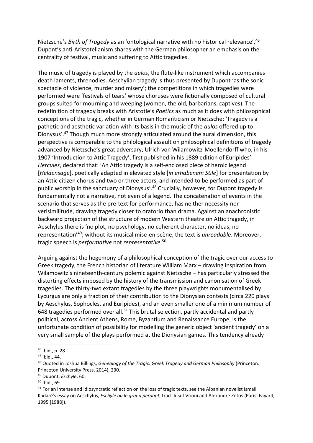Nietzsche's *Birth of Tragedy* as an 'ontological narrative with no historical relevance',<sup>46</sup> Dupont's anti-Aristotelianism shares with the German philosopher an emphasis on the centrality of festival, music and suffering to Attic tragedies.

The music of tragedy is played by the *aulos*, the flute-like instrument which accompanies death laments, threnodies. Aeschylian tragedy is thus presented by Dupont 'as the sonic spectacle of violence, murder and misery'; the competitions in which tragedies were performed were 'festivals of tears' whose choruses were fictionally composed of cultural groups suited for mourning and weeping (women, the old, barbarians, captives). The redefinition of tragedy breaks with Aristotle's *Poetics* as much as it does with philosophical conceptions of the tragic, whether in German Romanticism or Nietzsche: 'Tragedy is a pathetic and aesthetic variation with its basis in the music of the *aulos* offered up to Dionysus'. <sup>47</sup> Though much more strongly articulated around the aural dimension, this perspective is comparable to the philological assault on philosophical definitions of tragedy advanced by Nietzsche's great adversary, Ulrich von Wilamowitz-Moellendorff who, in his 1907 'Introduction to Attic Tragedy', first published in his 1889 edition of Euripides' *Hercules*, declared that: 'An Attic tragedy is a self-enclosed piece of heroic legend [*Heldensage*], poetically adapted in elevated style [*in erhabenem Stile*] for presentation by an Attic citizen chorus and two or three actors, and intended to be performed as part of public worship in the sanctuary of Dionysus'.<sup>48</sup> Crucially, however, for Dupont tragedy is fundamentally not a narrative, not even of a legend. The concatenation of events in the scenario that serves as the pre-text for performance, has neither necessity nor verisimilitude, drawing tragedy closer to oratorio than drama. Against an anachronistic backward projection of the structure of modern Western theatre on Attic tragedy, in Aeschylus there is 'no plot, no psychology, no coherent character, no ideas, no representation'<sup>49</sup>; without its musical mise-en-scène, the text is *unreadable*. Moreover, tragic speech is *performative* not *representative*. 50

Arguing against the hegemony of a philosophical conception of the tragic over our access to Greek tragedy, the French historian of literature William Marx – drawing inspiration from Wilamowitz's nineteenth-century polemic against Nietzsche – has particularly stressed the distorting effects imposed by the history of the transmission and canonisation of Greek tragedies. The thirty-two extant tragedies by the three playwrights monumentalised by Lycurgus are only a fraction of their contribution to the Dionysian contests (circa 220 plays by Aeschylus, Sophocles, and Euripides), and an even smaller one of a minimum number of 648 tragedies performed over all. $51$  This brutal selection, partly accidental and partly political, across Ancient Athens, Rome, Byzantium and Renaissance Europe, is the unfortunate condition of possibility for modelling the generic object 'ancient tragedy' on a very small sample of the plays performed at the Dionysian games. This tendency already

<sup>46</sup> Ibid., p. 28.

<sup>47</sup> Ibid., 44.

<sup>48</sup> Quoted in Joshua Billings, *Genealogy of the Tragic: Greek Tragedy and German Philosophy* (Princeton: Princeton University Press, 2014), 230.

<sup>49</sup> Dupont, *Eschyle*, 60.

<sup>50</sup> Ibid., 69.

<sup>&</sup>lt;sup>51</sup> For an intense and idiosyncratic reflection on the loss of tragic texts, see the Albanian novelist Ismail Kadaré's essay on Aeschylus, *Eschyle ou le grand perdant*, trad. Jusuf Vrioni and Alexandre Zotos (Paris: Fayard, 1995 [1988]).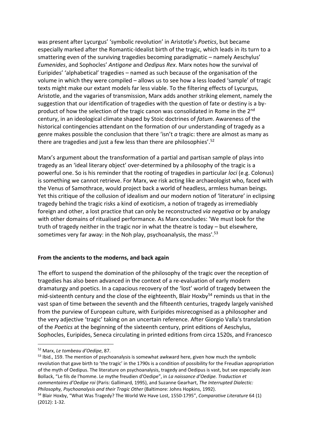was present after Lycurgus' 'symbolic revolution' in Aristotle's *Poetics*, but became especially marked after the Romantic-Idealist birth of the tragic, which leads in its turn to a smattering even of the surviving tragedies becoming paradigmatic – namely Aeschylus' *Eumenides*, and Sophocles' *Antigone* and *Oedipus Rex*. Marx notes how the survival of Euripides' 'alphabetical' tragedies – named as such because of the organisation of the volume in which they were compiled – allows us to see how a less loaded 'sample' of tragic texts might make our extant models far less viable. To the filtering effects of Lycurgus, Aristotle, and the vagaries of transmission, Marx adds another striking element, namely the suggestion that our identification of tragedies with the question of fate or destiny is a byproduct of how the selection of the tragic canon was consolidated in Rome in the 2<sup>nd</sup> century, in an ideological climate shaped by Stoic doctrines of *fatum*. Awareness of the historical contingencies attendant on the formation of our understanding of tragedy as a genre makes possible the conclusion that there 'isn't *a* tragic: there are almost as many as there are tragedies and just a few less than there are philosophies'.<sup>52</sup>

Marx's argument about the transformation of a partial and partisan sample of plays into tragedy as an 'ideal literary object' over-determined by a philosophy of the tragic is a powerful one. So is his reminder that the rooting of tragedies in particular *loci* (e.g. Colonus) is something we cannot retrieve. For Marx, we risk acting like archaeologist who, faced with the Venus of Samothrace, would project back a world of headless, armless human beings. Yet this critique of the collusion of idealism and our modern notion of 'literature' in eclipsing tragedy behind the tragic risks a kind of exoticism, a notion of tragedy as irremediably foreign and other, a lost practice that can only be reconstructed *via negativa* or by analogy with other domains of ritualised performance. As Marx concludes: 'We must look for the truth of tragedy neither in the tragic nor in what the theatre is today – but elsewhere, sometimes very far away: in the Noh play, psychoanalysis, the mass'.<sup>53</sup>

#### **From the ancients to the moderns, and back again**

The effort to suspend the domination of the philosophy of the tragic over the reception of tragedies has also been advanced in the context of a re-evaluation of early modern dramaturgy and poetics. In a capacious recovery of the 'lost' world of tragedy between the mid-sixteenth century and the close of the eighteenth, Blair Hoxby $54$  reminds us that in the vast span of time between the seventh and the fifteenth centuries, tragedy largely vanished from the purview of European culture, with Euripides misrecognised as a philosopher and the very adjective 'tragic' taking on an uncertain reference. After Giorgio Valla's translation of the *Poetics* at the beginning of the sixteenth century, print editions of Aeschylus, Sophocles, Euripides, Seneca circulating in printed editions from circa 1520s, and Francesco

**.** 

<sup>53</sup> Ibid., 159. The mention of psychoanalysis is somewhat awkward here, given how much the symbolic revolution that gave birth to 'the tragic' in the 1790s is a condition of possibility for the Freudian appropriation of the myth of Oedipus. The literature on psychoanalysis, tragedy and Oedipus is vast, but see especially Jean Bollack, "Le fils de l'homme. Le mythe freudien d'Oedipe", in *La naissance d'Oedipe. Traduction et commentaires d'Oedipe roi* (Paris: Gallimard, 1995), and Suzanne Gearhart, *The Interrupted Dialectic: Philosophy, Psychoanalysis and their Tragic Other* (Baltimore: Johns Hopkins, 1992).

<sup>52</sup> Marx, *Le tombeau d'Oedipe*, 87.

<sup>54</sup> Blair Hoxby, "What Was Tragedy? The World We Have Lost, 1550-1795", *Comparative Literature* 64 (1) (2012): 1-32.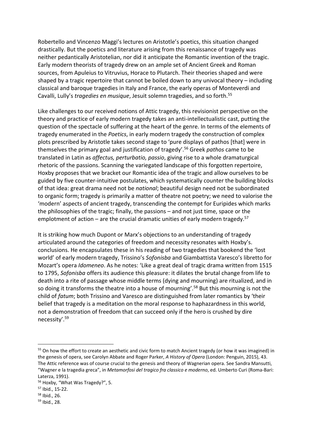Robertello and Vincenzo Maggi's lectures on Aristotle's poetics, this situation changed drastically. But the poetics and literature arising from this renaissance of tragedy was neither pedantically Aristotelian, nor did it anticipate the Romantic invention of the tragic. Early modern theorists of tragedy drew on an ample set of Ancient Greek and Roman sources, from Apuleius to Vitruvius, Horace to Plutarch. Their theories shaped and were shaped by a tragic repertoire that cannot be boiled down to any univocal theory – including classical and baroque tragedies in Italy and France, the early operas of Monteverdi and Cavalli, Lully's *tragedies en musique*, Jesuit solemn tragedies, and so forth.<sup>55</sup>

Like challenges to our received notions of Attic tragedy, this revisionist perspective on the theory and practice of early modern tragedy takes an anti-intellectualistic cast, putting the question of the spectacle of suffering at the heart of the genre. In terms of the elements of tragedy enumerated in the *Poetics*, in early modern tragedy the construction of complex plots prescribed by Aristotle takes second stage to 'pure displays of pathos [that] were in themselves the primary goal and justification of tragedy'.<sup>56</sup> Greek *pathos* came to be translated in Latin as *affectus, perturbatio, passio*, giving rise to a whole dramaturgical rhetoric of the passions. Scanning the variegated landscape of this forgotten repertoire, Hoxby proposes that we bracket our Romantic idea of the tragic and allow ourselves to be guided by five counter-intuitive postulates, which systematically counter the building blocks of that idea: great drama need not be *national*; beautiful design need not be subordinated to organic form; tragedy is primarily a matter of theatre not poetry; we need to valorise the 'modern' aspects of ancient tragedy, transcending the contempt for Euripides which marks the philosophies of the tragic; finally, the passions – and not just time, space or the emplotment of action – are the crucial dramatic unities of early modern tragedy.<sup>57</sup>

It is striking how much Dupont or Marx's objections to an understanding of tragedy articulated around the categories of freedom and necessity resonates with Hoxby's. conclusions. He encapsulates these in his reading of two tragedies that bookend the 'lost world' of early modern tragedy, Trissino's *Sofonisba* and Giambattista Varesco's libretto for Mozart's opera *Idomeneo*. As he notes: 'Like a great deal of tragic drama written from 1515 to 1795, *Sofonisba* offers its audience this pleasure: it dilates the brutal change from life to death into a rite of passage whose middle terms (dying and mourning) are ritualized, and in so doing it transforms the theatre into a house of mourning'.<sup>58</sup> But this mourning is not the child of *fatum*; both Trissino and Varesco are distinguished from later romantics by 'their belief that tragedy is a meditation on the moral response to haphazardness in this world, not a demonstration of freedom that can succeed only if the hero is crushed by dire necessity'. 59

<sup>&</sup>lt;sup>55</sup> On how the effort to create an aesthetic and civic form to match Ancient tragedy (or how it was imagined) in the genesis of opera, see Carolyn Abbate and Roger Parker, *A History of Opera* (London: Penguin, 2015), 43. The Attic reference was of course crucial to the genesis and theory of Wagnerian opera. See Sandra Mansutti, "Wagner e la tragedia greca", in *Metamorfosi del tragico fra classico e moderno*, ed. Umberto Curi (Roma-Bari: Laterza, 1991).

<sup>56</sup> Hoxby, "What Was Tragedy?", 5.

<sup>57</sup> Ibid., 15-22.

<sup>58</sup> Ibid., 26.

<sup>59</sup> Ibid., 28.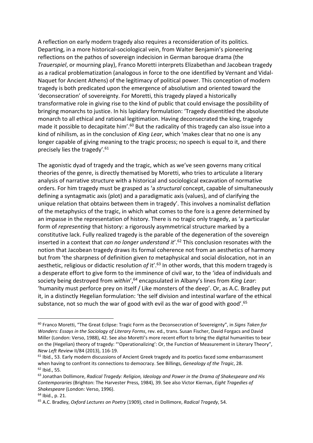A reflection on early modern tragedy also requires a reconsideration of its politics. Departing, in a more historical-sociological vein, from Walter Benjamin's pioneering reflections on the pathos of sovereign indecision in German baroque drama (the *Trauerspiel*, or mourning play), Franco Moretti interprets Elizabethan and Jacobean tragedy as a radical problematization (analogous in force to the one identified by Vernant and Vidal-Naquet for Ancient Athens) of the legitimacy of political power. This conception of modern tragedy is both predicated upon the emergence of absolutism and oriented toward the 'deconsecration' of sovereignty. For Moretti, this tragedy played a historically transformative role in giving rise to the kind of public that could envisage the possibility of bringing monarchs to justice. In his lapidary formulation: 'Tragedy disentitled the absolute monarch to all ethical and rational legitimation. Having deconsecrated the king, tragedy made it possible to decapitate him'.<sup>60</sup> But the radicality of this tragedy can also issue into a kind of nihilism, as in the conclusion of *King Lear*, which 'makes clear that no one is any longer capable of giving meaning to the tragic process; no speech is equal to it, and there precisely lies the tragedy'.<sup>61</sup>

The agonistic dyad of tragedy and the tragic, which as we've seen governs many critical theories of the genre, is directly thematised by Moretti, who tries to articulate a literary analysis of narrative structure with a historical and sociological excavation of normative orders. For him tragedy must be grasped as 'a *structural* concept, capable of simultaneously defining a syntagmatic axis (plot) and a paradigmatic axis (values), and of clarifying the unique relation that obtains between them in tragedy'. This involves a nominalist deflation of the metaphysics of the tragic, in which what comes to the fore is a genre determined by an impasse in the representation of history. There is no tragic only tragedy, as 'a particular form of *representing* that history: a rigorously asymmetrical structure marked by a constitutive lack. Fully realized tragedy is the parable of the degeneration of the sovereign inserted in a context that *can no longer understand it*'. <sup>62</sup> This conclusion resonates with the notion that Jacobean tragedy draws its formal coherence not from an aesthetics of harmony but from 'the sharpness of definition given *to* metaphysical and social dislocation, not in an aesthetic, religious or didactic resolution of it<sup>'</sup>.<sup>63</sup> In other words, that this modern tragedy is a desperate effort to give form to the imminence of civil war, to the 'idea of individuals and society being destroyed from *within'*,<sup>64</sup> encapsulated in Albany's lines from *King Lear*: 'humanity must perforce prey on itself / Like monsters of the deep'. Or, as A.C. Bradley put it, in a distinctly Hegelian formulation: 'the self division and intestinal warfare of the ethical substance, not so much the war of good with evil as the war of good with good'.<sup>65</sup>

<sup>60</sup> Franco Moretti, "The Great Eclipse: Tragic Form as the Deconsecration of Sovereignty", in *Signs Taken for Wonders: Essays in the Sociology of Literary Forms*, rev. ed., trans. Susan Fischer, David Forgacs and David Miller (London: Verso, 1988), 42. See also Moretti's more recent effort to bring the digital humanities to bear on the (Hegelian) theory of tragedy: "'Operationalizing': Or, the Function of Measurement in Literary Theory", *New Left Review* II/84 (2013), 116-19.

<sup>&</sup>lt;sup>61</sup> Ibid., 53. Early modern discussions of Ancient Greek tragedy and its poetics faced some embarrassment when having to confront its connections to democracy. See Billings, *Genealogy of the Tragic*, 28. <sup>62</sup> Ibid., 55.

<sup>63</sup> Jonathan Dollimore, *Radical Tragedy: Religion, Ideology and Power in the Drama of Shakespeare and His Contemporaries* (Brighton: The Harvester Press, 1984), 39. See also Victor Kiernan, *Eight Tragedies of Shakespeare* (London: Verso, 1996).

<sup>64</sup> Ibid., p. 21.

<sup>65</sup> A.C. Bradley, *Oxford Lectures on Poetry* (1909), cited in Dollimore, *Radical Tragedy*, 54.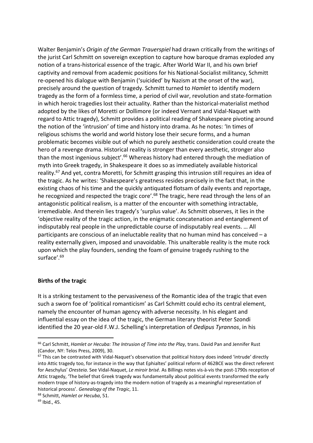Walter Benjamin's *Origin of the German Trauerspiel* had drawn critically from the writings of the jurist Carl Schmitt on sovereign exception to capture how baroque dramas exploded any notion of a trans-historical essence of the tragic. After World War II, and his own brief captivity and removal from academic positions for his National-Socialist militancy, Schmitt re-opened his dialogue with Benjamin ('suicided' by Nazism at the onset of the war), precisely around the question of tragedy. Schmitt turned to *Hamlet* to identify modern tragedy as the form of a formless time, a period of civil war, revolution and state-formation in which heroic tragedies lost their actuality. Rather than the historical-materialist method adopted by the likes of Moretti or Dollimore (or indeed Vernant and Vidal-Naquet with regard to Attic tragedy), Schmitt provides a political reading of Shakespeare pivoting around the notion of the 'intrusion' of time and history into drama. As he notes: 'In times of religious schisms the world and world history lose their secure forms, and a human problematic becomes visible out of which no purely aesthetic consideration could create the hero of a revenge drama. Historical reality is stronger than every aesthetic, stronger also than the most ingenious subject'.<sup>66</sup> Whereas history had entered through the mediation of myth into Greek tragedy, in Shakespeare it does so as immediately available historical reality.<sup>67</sup> And yet, contra Moretti, for Schmitt grasping this intrusion still requires an idea of the tragic. As he writes: 'Shakespeare's greatness resides precisely in the fact that, in the existing chaos of his time and the quickly antiquated flotsam of daily events and reportage, he recognized and respected the tragic core'.<sup>68</sup> The tragic, here read through the lens of an antagonistic political realism, is a matter of the encounter with something intractable, irremediable. And therein lies tragedy's 'surplus value'. As Schmitt observes, it lies in the 'objective reality of the tragic action, in the enigmatic concatenation and entanglement of indisputably real people in the unpredictable course of indisputably real events. … All participants are conscious of an ineluctable reality that no human mind has conceived – a reality externally given, imposed and unavoidable. This unalterable reality is the mute rock upon which the play founders, sending the foam of genuine tragedy rushing to the surface'. $69$ 

## **Births of the tragic**

It is a striking testament to the pervasiveness of the Romantic idea of the tragic that even such a sworn foe of 'political romanticism' as Carl Schmitt could echo its central element, namely the encounter of human agency with adverse necessity. In his elegant and influential essay on the idea of the tragic, the German literary theorist Peter Szondi identified the 20 year-old F.W.J. Schelling's interpretation of *Oedipus Tyrannos*, in his

<sup>66</sup> Carl Schmitt, *Hamlet or Hecuba: The Intrusion of Time into the Play*, trans. David Pan and Jennifer Rust (Candor, NY: Telos Press, 2009), 30.

 $67$  This can be contrasted with Vidal-Naquet's observation that political history does indeed 'intrude' directly into Attic tragedy too, for instance in the way that Ephialtes' political reform of 462BCE was the direct referent for Aeschylus' *Oresteia*. See Vidal-Naquet, *Le miroir brisé*. As Billings notes vis-à-vis the post-1790s reception of Attic tragedy, 'The belief that Greek tragedy was fundamentally about political events transformed the early modern trope of history-as-tragedy into the modern notion of tragedy as a meaningful representation of historical process'. *Genealogy of the Tragic*, 11.

<sup>68</sup> Schmitt, *Hamlet or Hecuba*, 51.

 $69$  Ibid., 45.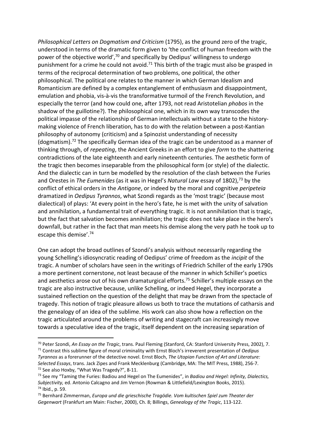*Philosophical Letters on Dogmatism and Criticism* (1795), as the ground zero of the tragic, understood in terms of the dramatic form given to 'the conflict of human freedom with the power of the objective world', $70$  and specifically by Oedipus' willingness to undergo punishment for a crime he could not avoid.<sup>71</sup> This birth of the tragic must also be grasped in terms of the reciprocal determination of two problems, one political, the other philosophical. The political one relates to the manner in which German Idealism and Romanticism are defined by a complex entanglement of enthusiasm and disappointment, emulation and phobia, vis-à-vis the transformative turmoil of the French Revolution, and especially the terror (and how could one, after 1793, not read Aristotelian *phobos* in the shadow of the guillotine?). The philosophical one, which in its own way transcodes the political impasse of the relationship of German intellectuals without a state to the historymaking violence of French liberation, has to do with the relation between a post-Kantian philosophy of autonomy (criticism) and a Spinozist understanding of necessity (dogmatism).<sup>72</sup> The specifically German idea of the tragic can be understood as a manner of thinking through, of *repeating*, the Ancient Greeks in an effort to give *form* to the shattering contradictions of the late eighteenth and early nineteenth centuries. The aesthetic form of the tragic then becomes inseparable from the philosophical form (or style) of the dialectic. And the dialectic can in turn be modelled by the resolution of the clash between the Furies and Orestes in *The Eumenides* (as it was in Hegel's *Natural Law* essay of 1802),<sup>73</sup> by the conflict of ethical orders in the *Antigone*, or indeed by the moral and cognitive *peripeteia*  dramatized in *Oedipus Tyrannos*, what Szondi regards as the 'most tragic' (because most dialectical) of plays: 'At every point in the hero's fate, he is met with the unity of salvation and annihilation, a fundamental trait of everything tragic. It is not annihilation that is tragic, but the fact that salvation becomes annihilation; the tragic does not take place in the hero's downfall, but rather in the fact that man meets his demise along the very path he took up to escape this demise'.<sup>74</sup>

One can adopt the broad outlines of Szondi's analysis without necessarily regarding the young Schelling's idiosyncratic reading of Oedipus' crime of freedom as the *incipit* of the tragic. A number of scholars have seen in the writings of Friedrich Schiller of the early 1790s a more pertinent cornerstone, not least because of the manner in which Schiller's poetics and aesthetics arose out of his own dramaturgical efforts.<sup>75</sup> Schiller's multiple essays on the tragic are also instructive because, unlike Schelling, or indeed Hegel, they incorporate a sustained reflection on the question of the delight that may be drawn from the spectacle of tragedy. This notion of tragic pleasure allows us both to trace the mutations of catharsis and the genealogy of an idea of the sublime. His work can also show how a reflection on the tragic articulated around the problems of writing and stagecraft can increasingly move towards a speculative idea of the tragic, itself dependent on the increasing separation of

<sup>70</sup> Peter Szondi, *An Essay on the Tragic*, trans. Paul Fleming (Stanford, CA: Stanford University Press, 2002), 7. <sup>71</sup> Contrast this sublime figure of moral criminality with Ernst Bloch's irreverent presentation of *Oedipus Tyrannos* as a forerunner of the detective novel. Ernst Bloch, *The Utopian Function of Art and Literature: Selected Essays*, trans. Jack Zipes and Frank Mecklenburg (Cambridge, MA: The MIT Press, 1988), 256-7. <sup>72</sup> See also Hoxby, "What Was Tragedy?", 8-11.

<sup>73</sup> See my "Taming the Furies: Badiou and Hegel on The Eumenides", in *Badiou and Hegel: Infinity, Dialectics, Subjectivity,* ed. Antonio Calcagno and Jim Vernon (Rowman & Littlefield/Lexington Books, 2015). <sup>74</sup> Ibid., p. 59.

<sup>75</sup> Bernhard Zimmerman, *Europa und die grieschische Tragödie. Vom kultischen Spiel zum Theater der Gegenwart* (Frankfurt am Main: Fischer, 2000), Ch. 8; Billings, *Genealogy of the Tragic*, 113-122.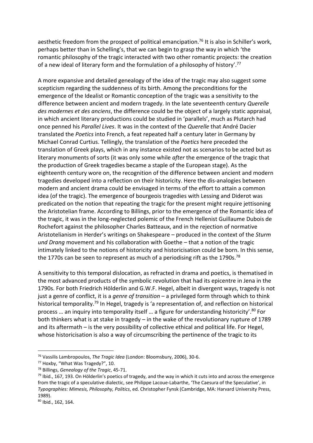aesthetic freedom from the prospect of political emancipation.<sup>76</sup> It is also in Schiller's work, perhaps better than in Schelling's, that we can begin to grasp the way in which 'the romantic philosophy of the tragic interacted with two other romantic projects: the creation of a new ideal of literary form and the formulation of a philosophy of history'.<sup>77</sup>

A more expansive and detailed genealogy of the idea of the tragic may also suggest some scepticism regarding the suddenness of its birth. Among the preconditions for the emergence of the Idealist or Romantic conception of the tragic was a sensitivity to the difference between ancient and modern tragedy. In the late seventeenth century *Querelle des modernes et des anciens*, the difference could be the object of a largely static appraisal, in which ancient literary productions could be studied in 'parallels', much as Plutarch had once penned his *Parallel Lives*. It was in the context of the *Querelle* that André Dacier translated the *Poetics* into French, a feat repeated half a century later in Germany by Michael Conrad Curtius. Tellingly, the translation of the *Poetics* here preceded the translation of Greek plays, which in any instance existed not as scenarios to be acted but as literary monuments of sorts (it was only some while *after* the emergence of the tragic that the production of Greek tragedies became a staple of the European stage). As the eighteenth century wore on, the recognition of the difference between ancient and modern tragedies developed into a reflection on their historicity. Here the dis-analogies between modern and ancient drama could be envisaged in terms of the effort to attain a common idea (of the tragic). The emergence of bourgeois tragedies with Lessing and Diderot was predicated on the notion that repeating the tragic for the present might require jettisoning the Aristotelian frame. According to Billings, prior to the emergence of the Romantic idea of the tragic, it was in the long-neglected polemic of the French Hellenist Guillaume Dubois de Rochefort against the philosopher Charles Batteaux, and in the rejection of normative Aristotelianism in Herder's writings on Shakespeare – produced in the context of the *Sturm und Drang* movement and his collaboration with Goethe – that a notion of the tragic intimately linked to the notions of historicity and historicisation could be born. In this sense, the 1770s can be seen to represent as much of a periodising rift as the 1790s.<sup>78</sup>

A sensitivity to this temporal dislocation, as refracted in drama and poetics, is thematised in the most advanced products of the symbolic revolution that had its epicentre in Jena in the 1790s. For both Friedrich Hölderlin and G.W.F. Hegel, albeit in divergent ways, tragedy is not just a genre of conflict, it is a *genre of transition* – a privileged form through which to think historical temporality.<sup>79</sup> In Hegel, tragedy is 'a representation of, and reflection on historical process ... an inquiry into temporality itself ... a figure for understanding historicity'.<sup>80</sup> For both thinkers what is at stake in tragedy – in the wake of the revolutionary rupture of 1789 and its aftermath – is the very possibility of collective ethical and political life. For Hegel, whose historicisation is also a way of circumscribing the pertinence of the tragic to its

<sup>76</sup> Vassilis Lambropoulos, *The Tragic Idea* (London: Bloomsbury, 2006), 30-6.

<sup>77</sup> Hoxby, "What Was Tragedy?", 10.

<sup>78</sup> Billings, *Genealogy of the Tragic*, 45-71.

 $79$  Ibid., 167, 193. On Hölderlin's poetics of tragedy, and the way in which it cuts into and across the emergence from the tragic of a speculative dialectic, see Philippe Lacoue-Labarthe, 'The Caesura of the Speculative', in *Typographies: Mimesis, Philosophy, Politics*, ed. Christopher Fynsk (Cambridge, MA: Harvard University Press, 1989).

<sup>80</sup> Ibid., 162, 164.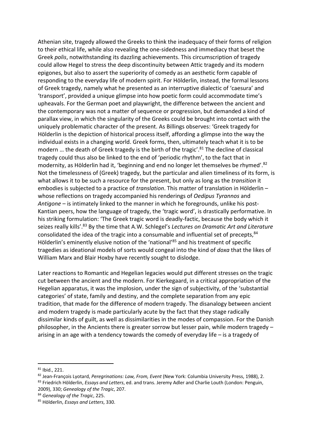Athenian site, tragedy allowed the Greeks to think the inadequacy of their forms of religion to their ethical life, while also revealing the one-sidedness and immediacy that beset the Greek *polis*, notwithstanding its dazzling achievements. This circumscription of tragedy could allow Hegel to stress the deep discontinuity between Attic tragedy and its modern epigones, but also to assert the superiority of comedy as an aesthetic form capable of responding to the everyday life of modern spirit. For Hölderlin, instead, the formal lessons of Greek tragedy, namely what he presented as an interruptive dialectic of 'caesura' and 'transport', provided a unique glimpse into how poetic form could accommodate time's upheavals. For the German poet and playwright, the difference between the ancient and the contemporary was not a matter of sequence or progression, but demanded a kind of parallax view, in which the singularity of the Greeks could be brought into contact with the uniquely problematic character of the present. As Billings observes: 'Greek tragedy for Hölderlin is the depiction of historical process itself, affording a glimpse into the way the individual exists in a changing world. Greek forms, then, ultimately teach what it is to be modern ... the death of Greek tragedy is the birth of the tragic'.<sup>81</sup> The decline of classical tragedy could thus also be linked to the end of 'periodic rhythm', to the fact that in modernity, as Hölderlin had it, 'beginning and end no longer let themselves be rhymed'.<sup>82</sup> Not the timelessness of (Greek) tragedy, but the particular and alien timeliness of its form, is what allows it to be such a resource for the present, but only as long as the *transition* it embodies is subjected to a practice of *translation*. This matter of translation in Hölderlin – whose reflections on tragedy accompanied his renderings of *Oedipus Tyrannos* and *Antigone* – is intimately linked to the manner in which he foregrounds, unlike his post-Kantian peers, how the language of tragedy, the 'tragic word', is drastically performative. In his striking formulation: 'The Greek tragic word is deadly-factic, because the body which it seizes really kills'. <sup>83</sup> By the time that A.W. Schlegel's *Lectures on Dramatic Art and Literature* consolidated the idea of the tragic into a consumable and influential set of precepts,  $84$ Hölderlin's eminently elusive notion of the 'national'<sup>85</sup> and his treatment of specific tragedies as ideational models of sorts would congeal into the kind of *doxa* that the likes of William Marx and Blair Hoxby have recently sought to dislodge.

Later reactions to Romantic and Hegelian legacies would put different stresses on the tragic cut between the ancient and the modern. For Kierkegaard, in a critical appropriation of the Hegelian apparatus, it was the implosion, under the sign of subjectivity, of the 'substantial categories' of state, family and destiny, and the complete separation from any epic tradition, that made for the difference of modern tragedy. The disanalogy between ancient and modern tragedy is made particularly acute by the fact that they stage radically dissimilar kinds of guilt, as well as dissimilarities in the modes of compassion. For the Danish philosopher, in the Ancients there is greater sorrow but lesser pain, while modern tragedy – arising in an age with a tendency towards the comedy of everyday life – is a tragedy of

<sup>81</sup> Ibid., 221.

<sup>82</sup> Jean-François Lyotard, *Peregrinations: Law, From, Event* (New York: Columbia University Press, 1988), 2. <sup>83</sup> Friedrich Hölderlin, *Essays and Letters*, ed. and trans. Jeremy Adler and Charlie Louth (London: Penguin, 2009), 330; *Genealogy of the Tragic*, 207.

<sup>84</sup> *Genealogy of the Tragic*, 225.

<sup>85</sup> Hölderlin, *Essays and Letters*, 330.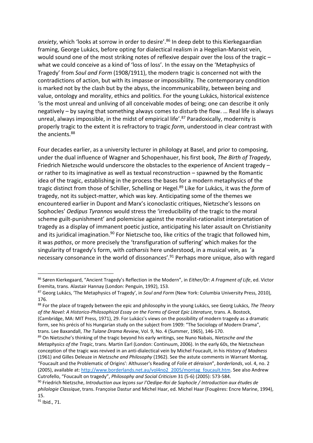*anxiety*, which 'looks at sorrow in order to desire'.<sup>86</sup> In deep debt to this Kierkegaardian framing, George Lukács, before opting for dialectical realism in a Hegelian-Marxist vein, would sound one of the most striking notes of reflexive despair over the loss of the tragic – what we could conceive as a kind of 'loss of loss'. In the essay on the 'Metaphysics of Tragedy' from *Soul and Form* (1908/1911), the modern tragic is concerned not with the contradictions of action, but with its impasse or impossibility. The contemporary condition is marked not by the clash but by the abyss, the incommunicability, between being and value, ontology and morality, ethics and politics. For the young Lukács, historical existence 'is the most unreal and unliving of all conceivable modes of being; one can describe it only negatively – by saying that something always comes to disturb the flow. … Real life is always unreal, always impossible, in the midst of empirical life'.<sup>87</sup> Paradoxically, modernity is properly tragic to the extent it is refractory to tragic *form*, understood in clear contrast with the ancients. 88

Four decades earlier, as a university lecturer in philology at Basel, and prior to composing, under the dual influence of Wagner and Schopenhauer, his first book, *The Birth of Tragedy*, Friedrich Nietzsche would underscore the obstacles to the experience of Ancient tragedy – or rather to its imaginative as well as textual reconstruction – spawned by the Romantic idea of the tragic, establishing in the process the bases for a modern metaphysics of the tragic distinct from those of Schiller, Schelling or Hegel. <sup>89</sup> Like for Lukács, it was the *form* of tragedy, not its subject-matter, which was key. Anticipating some of the themes we encountered earlier in Dupont and Marx's iconoclastic critiques, Nietzsche's lessons on Sophocles' *Oedipus Tyrannos* would stress the 'irreducibility of the tragic to the moral scheme guilt-punishment' and polemicise against the moralist-rationalist interpretation of tragedy as a display of immanent poetic justice, anticipating his later assault on Christianity and its juridical imagination.<sup>90</sup> For Nietzsche too, like critics of the tragic that followed him, it was *pathos*, or more precisely the 'transfiguration of suffering' which makes for the singularity of tragedy's form, with *catharsis* here understood, in a musical vein, as 'a necessary consonance in the world of dissonances'.<sup>91</sup> Perhaps more unique, also with regard

<sup>86</sup> Søren Kierkegaard, "Ancient Tragedy's Reflection in the Modern", in *Either/Or: A Fragment of Life*, ed. Victor Eremita, trans. Alastair Hannay (London: Penguin, 1992), 153.

<sup>87</sup> Georg Lukács, 'The Metaphysics of Tragedy', in *Soul and Form* (New York: Columbia University Press, 2010), 176.

<sup>88</sup> For the place of tragedy between the epic and philosophy in the young Lukács, see Georg Lukács, *The Theory of the Novel: A Historico-Philosophical Essay on the Forms of Great Epic Literature*, trans. A. Bostock, (Cambridge, MA: MIT Press, 1971), 29. For Lukács's views on the possibility of modern tragedy as a dramatic form, see his précis of his Hungarian study on the subject from 1909: "The Sociology of Modern Drama", trans. Lee Baxandall, *The Tulane Drama Review*, Vol. 9, No. 4 (Summer, 1965), 146-170.

<sup>89</sup> On Nietzsche's thinking of the tragic beyond his early writings, see Nuno Nabais, *Nietzsche and the Metaphysics of the Tragic*, trans. Martin Earl (London: Continuum, 2006). In the early 60s, the Nietzschean conception of the tragic was revived in an anti-dialectical vein by Michel Foucault, in his *History of Madness*  (1961) and Gilles Deleuze in *Nietzsche and Philosophy* (1962). See the astute comments in Warrant Montag, "Foucault and the Problematic of Origins': Althusser's Reading of *Folie et déraison*", *borderlands*, vol. 4, no. 2 (2005), available at[: http://www.borderlands.net.au/vol4no2\\_2005/montag\\_foucault.htm.](http://www.borderlands.net.au/vol4no2_2005/montag_foucault.htm) See also Andrew Cutrofello, "Foucault on tragedy", *Philosophy and Social Criticism* 31 (5-6) (2005): 573-584.

<sup>90</sup> Friedrich Nietzsche, *Introduction aux leçons sur l'Oedipe-Roi de Sophocle / Introduction aux études de philologie Classique*, trans. Françoise Dastur and Michel Haar, ed. Michel Haar (Fougères: Encre Marine, 1994), 15.

<sup>91</sup> Ibid., 71.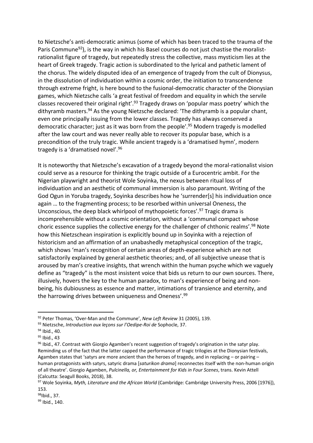to Nietzsche's anti-democratic animus (some of which has been traced to the trauma of the Paris Commune<sup>92</sup>), is the way in which his Basel courses do not just chastise the moralistrationalist figure of tragedy, but repeatedly stress the collective, mass mysticism lies at the heart of Greek tragedy. Tragic action is subordinated to the lyrical and pathetic lament of the chorus. The widely disputed idea of an emergence of tragedy from the cult of Dionysus, in the dissolution of individuation within a cosmic order, the initiation to transcendence through extreme fright, is here bound to the fusional-democratic character of the Dionysian games, which Nietzsche calls 'a great festival of freedom and equality in which the servile classes recovered their original right'.<sup>93</sup> Tragedy draws on 'popular mass poetry' which the dithyramb masters.<sup>94</sup> As the young Nietzsche declared: 'The dithyramb is a popular chant, even one principally issuing from the lower classes. Tragedy has always conserved a democratic character; just as it was born from the people'.<sup>95</sup> Modern tragedy is modelled after the law court and was never really able to recover its popular base, which is a precondition of the truly tragic. While ancient tragedy is a 'dramatised hymn', modern tragedy is a 'dramatised novel'.<sup>96</sup>

It is noteworthy that Nietzsche's excavation of a tragedy beyond the moral-rationalist vision could serve as a resource for thinking the tragic outside of a Eurocentric ambit. For the Nigerian playwright and theorist Wole Soyinka, the nexus between ritual loss of individuation and an aesthetic of communal immersion is also paramount. Writing of the God Ogun in Yoruba tragedy, Soyinka describes how he 'surrender[s] his individuation once again … to the fragmenting process; to be resorbed within universal Oneness, the Unconscious, the deep black whirlpool of mythopoietic forces'.<sup>97</sup> Tragic drama is incomprehensible without a cosmic orientation, without a 'communal compact whose choric essence supplies the collective energy for the challenger of chthonic realms'.<sup>98</sup> Note how this Nietzschean inspiration is explicitly bound up in Soyinka with a rejection of historicism and an affirmation of an unabashedly metaphysical conception of the tragic, which shows 'man's recognition of certain areas of depth-experience which are not satisfactorily explained by general aesthetic theories; and, of all subjective unease that is aroused by man's creative insights, that wrench within the human psyche which we vaguely define as "tragedy" is the most insistent voice that bids us return to our own sources. There, illusively, hovers the key to the human paradox, to man's experience of being and nonbeing, his dubiousness as essence and matter, intimations of transience and eternity, and the harrowing drives between uniqueness and Oneness'.<sup>99</sup>

<sup>92</sup> Peter Thomas, 'Over-Man and the Commune', *New Left Review* 31 (2005), 139.

<sup>93</sup> Nietzsche, *Introduction aux leçons sur l'Oedipe-Roi de* Sophocle, 37.

<sup>94</sup> Ibid., 40.

<sup>95</sup> Ibid., 43

 $96$  Ibid., 47. Contrast with Giorgio Agamben's recent suggestion of tragedy's origination in the satyr play. Reminding us of the fact that the latter capped the performance of tragic trilogies at the Dionysian festivals, Agamben states that 'satyrs are more ancient than the heroes of tragedy, and in replacing – or pairing – human protagonists with satyrs, satyric drama [*saturikon drama*] reconnectes itself with the non-human origin of all theatre'. Giorgio Agamben, *Pulcinella, or, Entertainment for Kids in Four Scenes*, trans. Kevin Attell (Calcutta: Seagull Books, 2018), 38.

<sup>97</sup> Wole Soyinka, *Myth, Literature and the African World* (Cambridge: Cambridge University Press, 2006 [1976]), 153.

<sup>98</sup>Ibid., 37.

<sup>99</sup> Ibid., 140.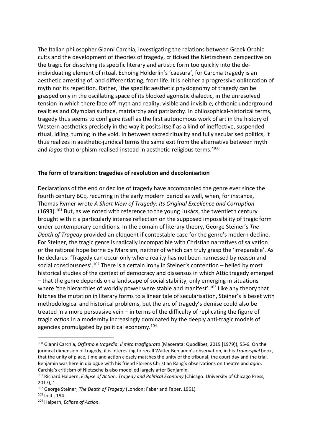The Italian philosopher Gianni Carchia, investigating the relations between Greek Orphic cults and the development of theories of tragedy, criticised the Nietzschean perspective on the tragic for dissolving its specific literary and artistic form too quickly into the deindividuating element of ritual. Echoing Hölderlin's 'caesura', for Carchia tragedy is an aesthetic arresting of, and differentiating, from life. It is neither a progressive obliteration of myth nor its repetition. Rather, 'the specific aesthetic physiognomy of tragedy can be grasped only in the oscillating space of its blocked agonistic dialectic, in the unresolved tension in which there face off myth and reality, visible and invisible, chthonic underground realities and Olympian surface, matriarchy and patriarchy. In philosophical-historical terms, tragedy thus seems to configure itself as the first autonomous work of art in the history of Western aesthetics precisely in the way it posits itself as a kind of ineffective, suspended ritual, idling, turning in the void. In between sacred rituality and fully secularised politics, it thus realizes in aesthetic-juridical terms the same exit from the alternative between myth and *logos* that orphism realised instead in aesthetic-religious terms.'<sup>100</sup>

## **The form of transition: tragedies of revolution and decolonisation**

Declarations of the end or decline of tragedy have accompanied the genre ever since the fourth century BCE, recurring in the early modern period as well, when, for instance, Thomas Rymer wrote *A Short View of Tragedy: Its Original Excellence and Corruption*  $(1693).$ <sup>101</sup> But, as we noted with reference to the young Lukács, the twentieth century brought with it a particularly intense reflection on the supposed impossibility of tragic form under contemporary conditions. In the domain of literary theory, George Steiner's *The Death of Tragedy* provided an eloquent if contestable case for the genre's modern decline. For Steiner, the tragic genre is radically incompatible with Christian narratives of salvation or the rational hope borne by Marxism, neither of which can truly grasp the 'irreparable'. As he declares: 'Tragedy can occur only where reality has not been harnessed by reason and social consciousness'.<sup>102</sup> There is a certain irony in Steiner's contention – belied by most historical studies of the context of democracy and dissensus in which Attic tragedy emerged – that the genre depends on a landscape of social stability, only emerging in situations where 'the hierarchies of worldly power were stable and manifest'.<sup>103</sup> Like any theory that hitches the mutation in literary forms to a linear tale of secularisation, Steiner's is beset with methodological and historical problems, but the arc of tragedy's demise could also be treated in a more persuasive vein – in terms of the difficulty of replicating the figure of tragic *action* in a modernity increasingly dominated by the deeply anti-tragic models of agencies promulgated by political economy.<sup>104</sup>

<sup>100</sup> Gianni Carchia, *Orfismo e tragedia. Il mito trasfigurato* (Macerata: Quodlibet, 2019 [1979]), 55-6. On the juridical dimension of tragedy, it is interesting to recall Walter Benjamin's observation, in his *Trauerspiel* book, that the unity of place, time and action closely matches the unity of the tribunal, the court day and the trial. Benjamin was here in dialogue with his friend Florens Christian Rang's observations on theatre and *agon*. Carchia's criticism of Nietzsche is also modelled largely after Benjamin.

<sup>101</sup> Richard Halpern, *Eclipse of Action: Tragedy and Political Economy* (Chicago: University of Chicago Press, 2017), 1.

<sup>102</sup> George Steiner, *The Death of Tragedy* (London: Faber and Faber, 1961)

<sup>103</sup> Ibid., 194.

<sup>104</sup> Halpern, *Eclipse of Action*.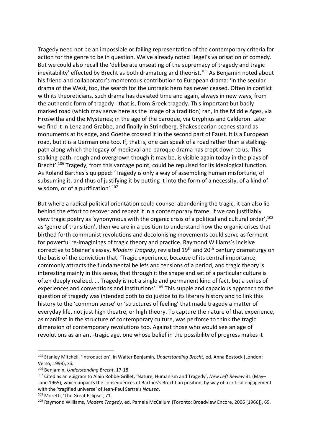Tragedy need not be an impossible or failing representation of the contemporary criteria for action for the genre to be in question. We've already noted Hegel's valorisation of comedy. But we could also recall the 'deliberate unseating of the supremacy of tragedy and tragic inevitability' effected by Brecht as both dramaturg and theorist.<sup>105</sup> As Benjamin noted about his friend and collaborator's momentous contribution to European drama: 'in the secular drama of the West, too, the search for the untragic hero has never ceased. Often in conflict with its theoreticians, such drama has deviated time and again, always in new ways, from the authentic form of tragedy - that is, from Greek tragedy. This important but badly marked road (which may serve here as the image of a tradition) ran, in the Middle Ages, via Hroswitha and the Mysteries; in the age of the baroque, via Gryphius and Calderon. Later we find it in Lenz and Grabbe, and finally in Strindberg. Shakespearian scenes stand as monuments at its edge, and Goethe crossed it in the second part of Faust. It is a European road, but it is a German one too. If, that is, one can speak of a road rather than a stalkingpath along which the legacy of medieval and baroque drama has crept down to us. This stalking-path, rough and overgrown though it may be, is visible again today in the plays of Brecht'.<sup>106</sup> Tragedy, from this vantage point, could be repulsed for its ideological function. As Roland Barthes's quipped: 'Tragedy is only a way of assembling human misfortune, of subsuming it, and thus of justifying it by putting it into the form of a necessity, of a kind of wisdom, or of a purification'.<sup>107</sup>

But where a radical political orientation could counsel abandoning the tragic, it can also lie behind the effort to recover and repeat it in a contemporary frame. If we can justifiably view tragic poetry as 'synonymous with the organic crisis of a political and cultural order', 108 as 'genre of transition', then we are in a position to understand how the organic crises that birthed forth communist revolutions and decolonising movements could serve as ferment for powerful re-imaginings of tragic theory and practice. Raymond Williams's incisive corrective to Steiner's essay, *Modern Tragedy*, revisited 19th and 20th century dramaturgy on the basis of the conviction that: 'Tragic experience, because of its central importance, commonly attracts the fundamental beliefs and tensions of a period, and tragic theory is interesting mainly in this sense, that through it the shape and set of a particular culture is often deeply realized. … Tragedy is not a single and permanent kind of fact, but a series of experiences and conventions and institutions'.<sup>109</sup> This supple and capacious approach to the question of tragedy was intended both to do justice to its literary history and to link this history to the 'common sense' or 'structures of feeling' that made tragedy a matter of everyday life, not just high theatre, or high theory. To capture the nature of that experience, as manifest in the structure of contemporary culture, was perforce to think the tragic dimension of contemporary revolutions too. Against those who would see an age of revolutions as an anti-tragic age, one whose belief in the possibility of progress makes it

<sup>105</sup> Stanley Mitchell, 'Introduction', in Walter Benjamin, *Understanding Brecht*, ed. Anna Bostock (London: Verso, 1998), xii.

<sup>106</sup> Benjamin, *Understanding Brecht*, 17-18.

<sup>107</sup> Cited as an epigram to Alain Robbe-Grillet, 'Nature, Humanism and Tragedy', *New Left Review* 31 (May– June 1965), which unpacks the consequences of Barthes's Brechtian position, by way of a critical engagement with the 'tragified universe' of Jean-Paul Sartre's *Nausea*.

<sup>108</sup> Moretti, 'The Great Eclipse', 71.

<sup>109</sup> Raymond Williams, *Modern Tragedy*, ed. Pamela McCallum (Toronto: Broadview Encore, 2006 [1966]), 69.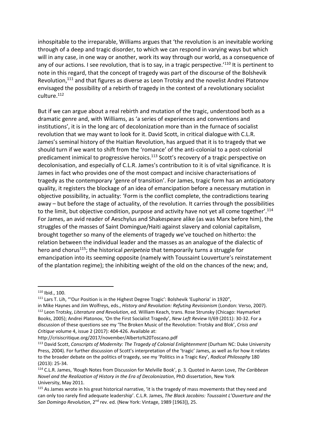inhospitable to the irreparable, Williams argues that 'the revolution is an inevitable working through of a deep and tragic disorder, to which we can respond in varying ways but which will in any case, in one way or another, work its way through our world, as a consequence of any of our actions. I see revolution, that is to say, in a tragic perspective.<sup>'110</sup> It is pertinent to note in this regard, that the concept of tragedy was part of the discourse of the Bolshevik Revolution,<sup>111</sup> and that figures as diverse as Leon Trotsky and the novelist Andrei Platonov envisaged the possibility of a rebirth of tragedy in the context of a revolutionary socialist culture.<sup>112</sup>

But if we can argue about a real rebirth and mutation of the tragic, understood both as a dramatic genre and, with Williams, as 'a series of experiences and conventions and institutions', it is in the long arc of decolonization more than in the furnace of socialist revolution that we may want to look for it. David Scott, in critical dialogue with C.L.R. James's seminal history of the Haitian Revolution, has argued that it is to tragedy that we should turn if we want to shift from the 'romance' of the anti-colonial to a post-colonial predicament inimical to progressive heroics.<sup>113</sup> Scott's recovery of a tragic perspective on decolonisation, and especially of C.L.R. James's contribution to it is of vital significance. It is James in fact who provides one of the most compact and incisive characterisations of tragedy as the contemporary 'genre of transition'. For James, tragic form has an anticipatory quality, it registers the blockage of an idea of emancipation before a necessary mutation in objective possibility, in actuality: 'Form is the conflict complete, the contradictions tearing away – but before the stage of actuality, of the revolution. It carries through the possibilities to the limit, but objective condition, purpose and activity have not yet all come together'.<sup>114</sup> For James, an avid reader of Aeschylus and Shakespeare alike (as was Marx before him), the struggles of the masses of Saint Domingue/Haiti against slavery and colonial capitalism, brought together so many of the elements of tragedy we've touched on hitherto: the relation between the individual leader and the masses as an analogue of the dialectic of hero and chorus<sup>115</sup>; the historical *peripeteia* that temporarily turns a struggle for emancipation into its seeming opposite (namely with Toussaint Louverture's reinstatement of the plantation regime); the inhibiting weight of the old on the chances of the new; and,

<sup>110</sup> Ibid., 100.

<sup>111</sup> Lars T. Lih, "'Our Position is in the Highest Degree Tragic': Bolshevik 'Euphoria' in 1920",

in Mike Haynes and Jim Wolfreys, eds., *History and Revolution: Refuting Revisionism* (London: Verso, 2007). <sup>112</sup> Leon Trotsky, *Literature and Revolution*, ed. William Keach, trans. Rose Strunsky (Chicago: Haymarket Books, 2005); Andrei Platonov, 'On the First Socialist Tragedy', *New Left Review* II/69 (2011): 30-32. For a discussion of these questions see my 'The Broken Music of the Revolution: Trotsky and Blok', *Crisis and Critique* volume 4, issue 2 (2017): 404-426. Available at:

http://crisiscritique.org/2017/november/Alberto%20Toscano.pdf

<sup>113</sup> David Scott, *Conscripts of Modernity: The Tragedy of Colonial Enlightenment* (Durham NC: Duke University Press, 2004). For further discussion of Scott's interpretation of the 'tragic' James, as well as for how it relates to the broader debate on the politics of tragedy, see my 'Politics in a Tragic Key', *Radical Philosophy* 180 (2013): 25-34.

<sup>114</sup> C.L.R. James, 'Rough Notes from Discussion for Melville Book', p. 3. Quoted in Aaron Love, *The Caribbean Novel and the Realization of History in the Era of Decolonization*, PhD dissertation, New York University, May 2011.

<sup>&</sup>lt;sup>115</sup> As James wrote in his great historical narrative, 'it is the tragedy of mass movements that they need and can only too rarely find adequate leadership'. C.L.R. James, *The Black Jacobins: Toussaint L'Ouverture and the San Domingo Revolution*, 2nd rev. ed. (New York: Vintage, 1989 [1963]), 25.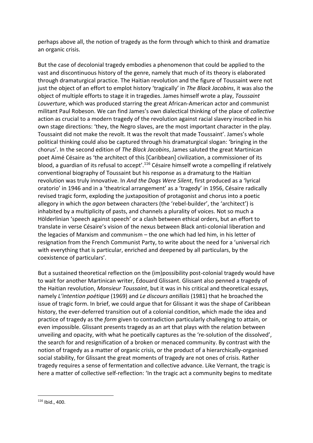perhaps above all, the notion of tragedy as the form through which to think and dramatize an organic crisis.

But the case of decolonial tragedy embodies a phenomenon that could be applied to the vast and discontinuous history of the genre, namely that much of its theory is elaborated through dramaturgical practice. The Haitian revolution and the figure of Toussaint were not just the object of an effort to emplot history 'tragically' in *The Black Jacobins*, it was also the object of multiple efforts to stage it in tragedies. James himself wrote a play, *Toussaint Louverture*, which was produced starring the great African-American actor and communist militant Paul Robeson. We can find James's own dialectical thinking of the place of *collective* action as crucial to a modern tragedy of the revolution against racial slavery inscribed in his own stage directions: 'they, the Negro slaves, are the most important character in the play. Toussaint did not make the revolt. It was the revolt that made Toussaint'. James's whole political thinking could also be captured through his dramaturgical slogan: 'bringing in the chorus'. In the second edition of *The Black Jacobins*, James saluted the great Martinican poet Aimé Césaire as 'the architect of this [Caribbean] civilization, a commissioner of its blood, a guardian of its refusal to accept'.<sup>116</sup> Césaire himself wrote a compelling if relatively conventional biography of Toussaint but his response as a dramaturg to the Haitian revolution was truly innovative. In *And the Dogs Were Silent*, first produced as a 'lyrical oratorio' in 1946 and in a 'theatrical arrangement' as a 'tragedy' in 1956, Césaire radically revised tragic form, exploding the juxtaposition of protagonist and chorus into a poetic allegory in which the *agon* between characters (the 'rebel-builder', the 'architect') is inhabited by a multiplicity of pasts, and channels a plurality of voices. Not so much a Hölderlinian 'speech against speech' or a clash between ethical orders, but an effort to translate in verse Césaire's vision of the nexus between Black anti-colonial liberation and the legacies of Marxism and communism – the one which had led him, in his letter of resignation from the French Communist Party, to write about the need for a 'universal rich with everything that is particular, enriched and deepened by all particulars, by the coexistence of particulars'.

But a sustained theoretical reflection on the (im)possibility post-colonial tragedy would have to wait for another Martinican writer, Édouard Glissant. Glissant also penned a tragedy of the Haitian revolution, *Monsieur Toussaint*, but it was in his critical and theoretical essays, namely *L'intention poétique* (1969) and *Le discours antillais* (1981) that he broached the issue of tragic form. In brief, we could argue that for Glissant it was the shape of Caribbean history, the ever-deferred transition out of a colonial condition, which made the idea and practice of tragedy as the *form* given to contradiction particularly challenging to attain, or even impossible. Glissant presents tragedy as an art that plays with the relation between unveiling and opacity, with what he poetically captures as the 're-solution of the dissolved', the search for and resignification of a broken or menaced community. By contrast with the notion of tragedy as a matter of organic crisis, or the product of a hierarchically-organised social stability, for Glissant the great moments of tragedy are not ones of crisis. Rather tragedy requires a sense of fermentation and collective advance. Like Vernant, the tragic is here a matter of collective self-reflection: 'In the tragic act a community begins to meditate

<u>.</u>

 $116$  Ibid., 400.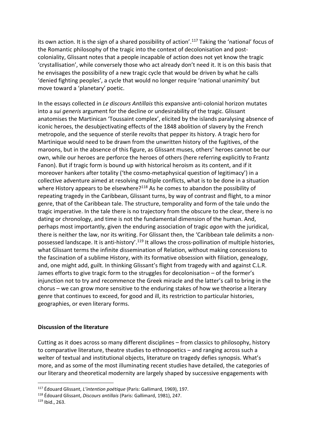its own action. It is the sign of a shared possibility of action'.<sup>117</sup> Taking the 'national' focus of the Romantic philosophy of the tragic into the context of decolonisation and postcoloniality, Glissant notes that a people incapable of action does not yet know the tragic 'crystallisation', while conversely those who act already don't need it. It is on this basis that he envisages the possibility of a new tragic cycle that would be driven by what he calls 'denied fighting peoples', a cycle that would no longer require 'national unanimity' but move toward a 'planetary' poetic.

In the essays collected in *Le discours Antillais* this expansive anti-colonial horizon mutates into a *sui generis* argument for the decline or undesirability of the tragic. Glissant anatomises the Martinican 'Toussaint complex', elicited by the islands paralysing absence of iconic heroes, the desubjectivating effects of the 1848 abolition of slavery by the French metropole, and the sequence of sterile revolts that pepper its history. A tragic hero for Martinique would need to be drawn from the unwritten history of the fugitives, of the maroons, but in the absence of this figure, as Glissant muses, others' heroes cannot be our own, while our heroes are perforce the heroes of others (here referring explicitly to Frantz Fanon). But if tragic form is bound up with historical heroism as its content, and if it moreover hankers after totality ('the cosmo-metaphysical question of legitimacy') in a collective adventure aimed at resolving multiple conflicts, what is to be done in a situation where History appears to be elsewhere?<sup>118</sup> As he comes to abandon the possibility of repeating tragedy in the Caribbean, Glissant turns, by way of contrast and flight, to a minor genre, that of the Caribbean tale. The structure, temporality and form of the tale undo the tragic imperative. In the tale there is no trajectory from the obscure to the clear, there is no dating or chronology, and time is not the fundamental dimension of the human. And, perhaps most importantly, given the enduring association of tragic *agon* with the juridical, there is neither the law, nor its writing. For Glissant then, the 'Caribbean tale delimits a nonpossessed landscape. It is anti-history'.<sup>119</sup> It allows the cross-pollination of multiple histories, what Glissant terms the infinite dissemination of Relation, without making concessions to the fascination of a sublime History, with its formative obsession with filiation, genealogy, and, one might add, guilt. In thinking Glissant's flight from tragedy with and against C.L.R. James efforts to give tragic form to the struggles for decolonisation – of the former's injunction not to try and recommence the Greek miracle and the latter's call to bring in the chorus – we can grow more sensitive to the enduring stakes of how we theorise a literary genre that continues to exceed, for good and ill, its restriction to particular histories, geographies, or even literary forms.

#### **Discussion of the literature**

.

Cutting as it does across so many different disciplines – from classics to philosophy, history to comparative literature, theatre studies to ethnopoetics – and ranging across such a welter of textual and institutional objects, literature on tragedy defies synopsis. What's more, and as some of the most illuminating recent studies have detailed, the categories of our literary and theoretical modernity are largely shaped by successive engagements with

<sup>117</sup> Édouard Glissant, *L'intention poétique* (Paris: Gallimard, 1969), 197.

<sup>118</sup> Édouard Glissant, *Discours antillais* (Paris: Gallimard, 1981), 247. <sup>119</sup> Ibid., 263.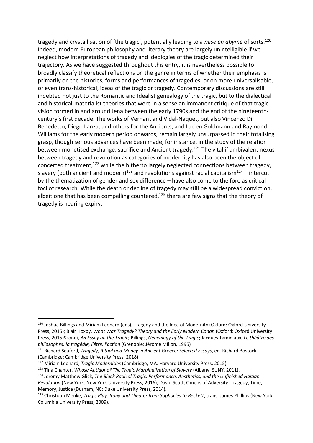tragedy and crystallisation of 'the tragic', potentially leading to a *mise en abyme* of sorts. 120 Indeed, modern European philosophy and literary theory are largely unintelligible if we neglect how interpretations of tragedy and ideologies of the tragic determined their trajectory. As we have suggested throughout this entry, it is nevertheless possible to broadly classify theoretical reflections on the genre in terms of whether their emphasis is primarily on the histories, forms and performances of tragedies, or on more universalisable, or even trans-historical, ideas of the tragic or tragedy. Contemporary discussions are still indebted not just to the Romantic and Idealist genealogy of the tragic, but to the dialectical and historical-materialist theories that were in a sense an immanent critique of that tragic vision formed in and around Jena between the early 1790s and the end of the nineteenthcentury's first decade. The works of Vernant and Vidal-Naquet, but also Vincenzo Di Benedetto, Diego Lanza, and others for the Ancients, and Lucien Goldmann and Raymond Williams for the early modern period onwards, remain largely unsurpassed in their totalising grasp, though serious advances have been made, for instance, in the study of the relation between monetised exchange, sacrifice and Ancient tragedy.<sup>121</sup> The vital if ambivalent nexus between tragedy and revolution as categories of modernity has also been the object of concerted treatment,<sup>122</sup> while the hitherto largely neglected connections between tragedy, slavery (both ancient and modern)<sup>123</sup> and revolutions against racial capitalism<sup>124</sup> – intercut by the thematization of gender and sex difference – have also come to the fore as critical foci of research. While the death or decline of tragedy may still be a widespread conviction, albeit one that has been compelling countered, $125$  there are few signs that the theory of tragedy is nearing expiry.

<sup>.</sup> <sup>120</sup> Joshua Billings and Miriam Leonard (eds), Tragedy and the Idea of Modernity (Oxford: Oxford University Press, 2015); Blair Hoxby, *What Was Tragedy? Theory and the Early Modern Canon* (Oxford: Oxford University Press, 2015)Szondi, *An Essay on the Tragic*; Billings, *Genealogy of the Tragic*; Jacques Taminiaux, *Le théâtre des philosophes: la tragédie, l'être, l'action* (Grenoble: Jérôme Millon, 1995)

<sup>121</sup> Richard Seaford, *Tragedy, Ritual and Money in Ancient Greece: Selected Essays*, ed. Richard Bostock (Cambridge: Cambridge University Press, 2018).

<sup>122</sup> Miriam Leonard, *Tragic Modernities* (Cambridge, MA: Harvard University Press, 2015).

<sup>123</sup> Tina Chanter, *Whose Antigone? The Tragic Marginalization of Slavery* (Albany: SUNY, 2011).

<sup>124</sup> Jeremy Matthew Glick, *The Black Radical Tragic: Performance, Aesthetics, and the Unfinished Haitian Revolution* (New York: New York University Press, 2016); David Scott, Omens of Adversity: Tragedy, Time, Memory, Justice (Durham, NC: Duke University Press, 2014).

<sup>125</sup> Christoph Menke, *Tragic Play: Irony and Theater from Sophocles to Beckett*, trans. James Phillips (New York: Columbia University Press, 2009).